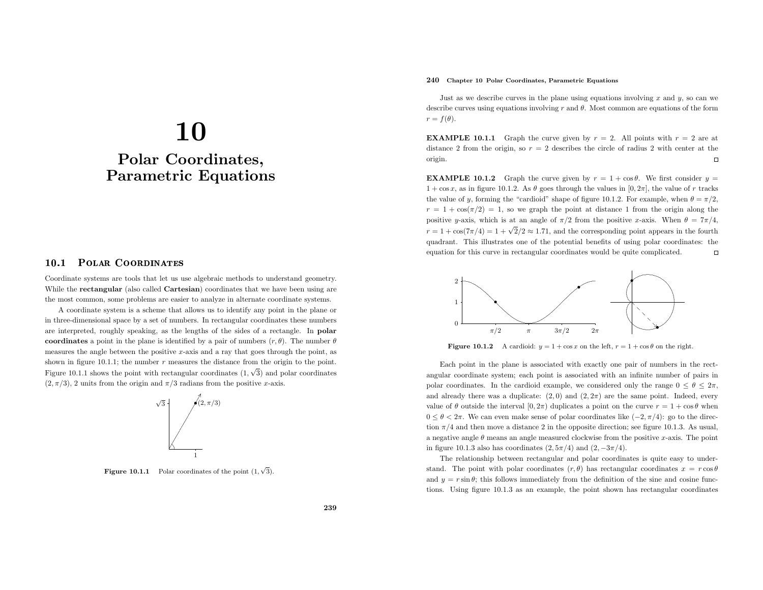# 10 Polar Coordinates, Parametric Equations

#### 10.1Polar Coordinates

Coordinate systems are tools that let us use algebraic methods to understand geometry. While the **rectangular** (also called **Cartesian**) coordinates that we have been using are the most common, some problems are easier to analyze in alternate coordinate systems.

<sup>A</sup> coordinate system is <sup>a</sup> scheme that allows us to identify any point in the <sup>p</sup>lane or in three-dimensional space by <sup>a</sup> set of numbers. In rectangular coordinates these numbers are interpreted, roughly speaking, as the lengths of the sides of <sup>a</sup> rectangle. In polar coordinates a point in the plane is identified by a pair of numbers  $(r, \theta)$ . The number  $\theta$ measures the angle between the positive x-axis and a ray that goes through the point, as shown in figure 10.1.1; the number  $r$  measures the distance from the origin to the point. Figure 10.1.1 shows the point with rectangular coordinates  $(1, \sqrt{3})$  and polar coordinates  $(2, \pi/3)$ , 2 units from the origin and  $\pi/3$  radians from the positive x-axis.



**Figure 10.1.1** Polar coordinates of the point  $(1, \sqrt{3})$ .

# 240 Chapter <sup>10</sup> Polar Coordinates, Parametric Equations

Just as we describe curves in the plane using equations involving  $x$  and  $y$ , so can we describe curves using equations involving r and  $\theta$ . Most common are equations of the form  $r = f(\theta).$ 

**EXAMPLE 10.1.1** Graph the curve given by  $r = 2$ . All points with  $r = 2$  are at distance 2 from the origin, so  $r = 2$  describes the circle of radius 2 with center at the origin. $\Box$ 

**EXAMPLE 10.1.2** Graph the curve given by  $r = 1 + \cos \theta$ . We first consider  $y =$  $1 + \cos x$ , as in figure 10.1.2. As  $\theta$  goes through the values in  $[0, 2\pi]$ , the value of r tracks the value of y, forming the "cardioid" shape of figure 10.1.2. For example, when  $\theta = \pi/2$ ,  $r = 1 + \cos(\pi/2) = 1$ , so we graph the point at distance 1 from the origin along the positive y-axis, which is at an angle of  $\pi/2$  from the positive x-axis. When  $\theta = 7\pi/4$ ,  $r = 1 + \cos(7\pi/4) = 1 + \sqrt{2}/2 \approx 1.71$ , and the corresponding point appears in the fourth quadrant. This illustrates one of the potential benefits of using polar coordinates: the equation for this curve in rectangular coordinates would be quite complicated.  $\Box$ 



**Figure 10.1.2** A cardioid:  $y = 1 + \cos x$  on the left,  $r = 1 + \cos \theta$  on the right.

Each point in the <sup>p</sup>lane is associated with exactly one pair of numbers in the rectangular coordinate system; each point is associated with an infinite number of pairs in polar coordinates. In the cardioid example, we considered only the range  $0 \le \theta \le 2\pi$ , and already there was a duplicate:  $(2, 0)$  and  $(2, 2\pi)$  are the same point. Indeed, every value of  $\theta$  outside the interval  $[0, 2\pi)$  duplicates a point on the curve  $r = 1 + \cos \theta$  when  $0 ≤ θ < 2π$ . We can even make sense of polar coordinates like  $(-2, π/4)$ : go to the direction  $\pi/4$  and then move a distance 2 in the opposite direction; see figure 10.1.3. As usual, a negative angle  $\theta$  means an angle measured clockwise from the positive x-axis. The point in figure 10.1.3 also has coordinates  $(2, 5\pi/4)$  and  $(2, -3\pi/4)$ .

The relationship between rectangular and polar coordinates is quite easy to understand. The point with polar coordinates  $(r, \theta)$  has rectangular coordinates  $x = r \cos \theta$ and  $y = r \sin \theta$ ; this follows immediately from the definition of the sine and cosine functions. Using figure 10.1.3 as an example, the point shown has rectangular coordinates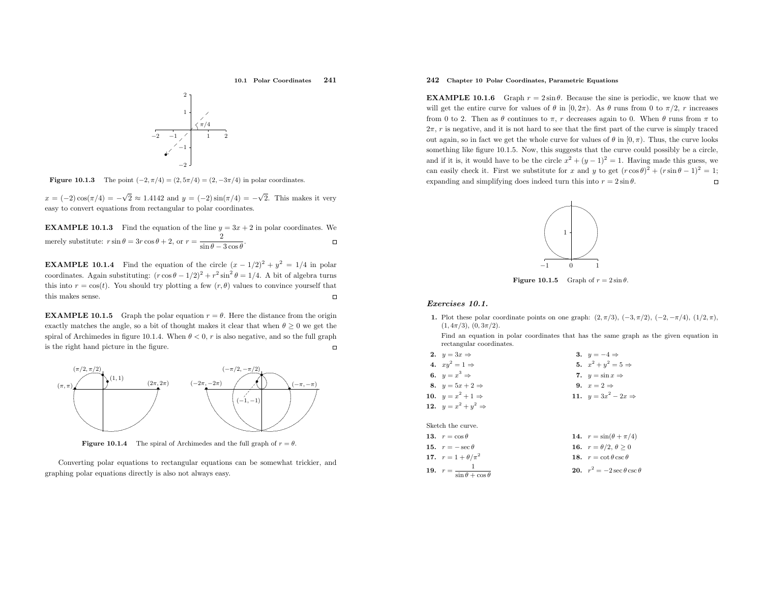10.1 Polar Coordinates <sup>241</sup>

$$
\begin{array}{c|c}\n & 2 \\
& 1 \\
& 1 \\
& 2 \\
& 1 \\
& 2 \\
& 4\n\end{array}
$$

**Figure 10.1.3** The point  $(-2, \pi/4) = (2, 5\pi/4) = (2, -3\pi/4)$  in polar coordinates.

 $x = (-2)\cos(\pi/4) = -\sqrt{2} \approx 1.4142$  and  $y = (-2)\sin(\pi/4) = -\sqrt{2}$ . This makes it very easy to convert equations from rectangular to polar coordinates.

**EXAMPLE 10.1.3** Find the equation of the line  $y = 3x + 2$  in polar coordinates. We  $rac{2}{\sin\theta-3\cos\theta}$ .  $\Box$ merely substitute:  $r \sin \theta = 3r \cos \theta + 2$ , or  $r =$ 

**EXAMPLE 10.1.4** Find the equation of the circle  $(x - 1/2)^2 + y^2 = 1/4$  in polar coordinates. Again substituting:  $(r \cos \theta - 1/2)^2 + r^2 \sin^2 \theta = 1/4$ . A bit of algebra turns this into  $r = \cos(t)$ . You should try plotting a few  $(r, \theta)$  values to convince yourself that this makes sense.  $\Box$ 

**EXAMPLE 10.1.5** Graph the polar equation  $r = \theta$ . Here the distance from the origin exactly matches the angle, so a bit of thought makes it clear that when  $\theta \ge 0$  we get the spiral of Archimedes in figure 10.1.4. When  $\theta < 0$ , r is also negative, and so the full graph is the right hand <sup>p</sup>icture in the figure.



**Figure 10.1.4** The spiral of Archimedes and the full graph of  $r = \theta$ .

Converting polar equations to rectangular equations can be somewhat trickier, andgraphing polar equations directly is also not always easy.

# 242 Chapter <sup>10</sup> Polar Coordinates, Parametric Equations

**EXAMPLE 10.1.6** Graph  $r = 2 \sin \theta$ . Because the sine is periodic, we know that we will get the entire curve for values of  $\theta$  in  $[0, 2\pi)$ . As  $\theta$  runs from 0 to  $\pi/2$ , r increases from 0 to 2. Then as  $\theta$  continues to  $\pi$ , r decreases again to 0. When  $\theta$  runs from  $\pi$  to  $2\pi$ , r is negative, and it is not hard to see that the first part of the curve is simply traced out again, so in fact we get the whole curve for values of  $\theta$  in  $[0, \pi)$ . Thus, the curve looks something like figure 10.1.5. Now, this suggests that the curve could possibly be <sup>a</sup> circle, and if it is, it would have to be the circle  $x^2 + (y - 1)^2 = 1$ . Having made this guess, we can easily check it. First we substitute for x and y to get  $(r \cos \theta)^2 + (r \sin \theta - 1)^2 = 1$ ; expanding and simplifying does indeed turn this into  $r = 2 \sin \theta$ .  $\Box$ 



**Figure 10.1.5** Graph of  $r = 2 \sin \theta$ .

### Exercises 10.1.

1. Plot these polar coordinate points on one graph:  $(2, \pi/3)$ ,  $(-3, \pi/2)$ ,  $(-2, -\pi/4)$ ,  $(1/2, \pi)$ ,  $(1, 4\pi/3), (0, 3\pi/2).$ 

Find an equation in polar coordinates that has the same grap<sup>h</sup> as the <sup>g</sup>iven equation inrectangular coordinates.

| 2. $y = 3x \Rightarrow$         | 3. $y = -4 \Rightarrow$         |
|---------------------------------|---------------------------------|
| 4. $xu^2 = 1 \Rightarrow$       | 5. $x^2 + y^2 = 5 \Rightarrow$  |
| 6. $y = x^3 \Rightarrow$        | 7. $y = \sin x \Rightarrow$     |
| 8. $y = 5x + 2 \Rightarrow$     | 9. $x=2 \Rightarrow$            |
| 10. $y = x^2 + 1 \Rightarrow$   | 11. $y = 3x^2 - 2x \Rightarrow$ |
| 12. $y = x^2 + y^2 \Rightarrow$ |                                 |
|                                 |                                 |

Sketch the curve.

| 13. $r = \cos \theta$                         | 14. $r = \sin(\theta + \pi/4)$     |
|-----------------------------------------------|------------------------------------|
| 15. $r = -\sec \theta$                        | 16. $r = \theta/2, \theta > 0$     |
| 17. $r = 1 + \theta/\pi^2$                    | 18. $r = \cot \theta \csc \theta$  |
| 19. $r = \frac{1}{\sin \theta + \cos \theta}$ | 20. $r^2 = -2\sec\theta\csc\theta$ |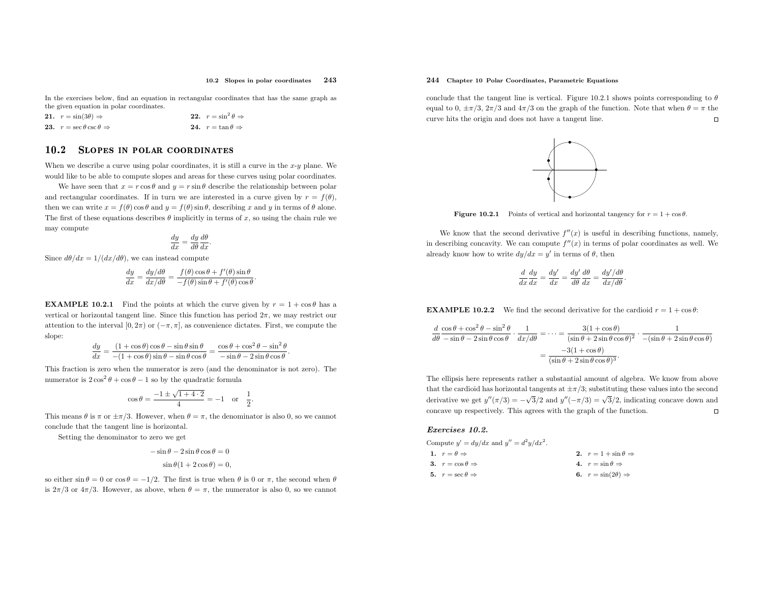In the exercises below, find an equation in rectangular coordinates that has the same grap<sup>h</sup> as the <sup>g</sup>iven equation in polar coordinates.

| <b>21.</b> $r = \sin(3\theta) \Rightarrow$    | 22. $r = \sin^2 \theta \Rightarrow$      |
|-----------------------------------------------|------------------------------------------|
| 23. $r = \sec \theta \csc \theta \Rightarrow$ | <b>24.</b> $r = \tan \theta \Rightarrow$ |

#### 10.22 SLOPES IN POLAR COORDINATES

When we describe a curve using polar coordinates, it is still a curve in the  $x-y$  plane. We would like to be able to compute slopes and areas for these curves using polar coordinates.

We have seen that  $x = r \cos \theta$  and  $y = r \sin \theta$  describe the relationship between polar and rectangular coordinates. If in turn we are interested in a curve given by  $r = f(\theta)$ , then we can write  $x = f(\theta) \cos \theta$  and  $y = f(\theta) \sin \theta$ , describing x and y in terms of  $\theta$  alone. The first of these equations describes  $\theta$  implicitly in terms of x, so using the chain rule we may compute

$$
\frac{dy}{dx} = \frac{dy}{d\theta} \frac{d\theta}{dx}.
$$

Since  $d\theta/dx = 1/(dx/d\theta)$ , we can instead compute

$$
\frac{dy}{dx} = \frac{dy/d\theta}{dx/d\theta} = \frac{f(\theta)\cos\theta + f'(\theta)\sin\theta}{-f(\theta)\sin\theta + f'(\theta)\cos\theta}
$$

**EXAMPLE 10.2.1** Find the points at which the curve given by  $r = 1 + \cos \theta$  has a vertical or horizontal tangent line. Since this function has period  $2\pi$ , we may restrict our attention to the interval  $[0, 2\pi)$  or  $(-\pi, \pi]$ , as convenience dictates. First, we compute the slope:

$$
\frac{dy}{dx} = \frac{(1+\cos\theta)\cos\theta - \sin\theta\sin\theta}{-(1+\cos\theta)\sin\theta - \sin\theta\cos\theta} = \frac{\cos\theta + \cos^2\theta - \sin^2\theta}{-\sin\theta - 2\sin\theta\cos\theta}.
$$

This fraction is zero when the numerator is zero (and the denominator is not zero). The numerator is  $2\cos^2\theta + \cos\theta - 1$  so by the quadratic formula

$$
\cos \theta = \frac{-1 \pm \sqrt{1 + 4 \cdot 2}}{4} = -1 \quad \text{or} \quad \frac{1}{2}.
$$

This means  $\theta$  is  $\pi$  or  $\pm \pi/3$ . However, when  $\theta = \pi$ , the denominator is also 0, so we cannot conclude that the tangent line is horizontal.

Setting the denominator to zero we get

$$
-\sin\theta - 2\sin\theta\cos\theta = 0
$$
  

$$
\sin\theta(1 + 2\cos\theta) = 0,
$$

so either  $\sin \theta = 0$  or  $\cos \theta = -1/2$ . The first is true when  $\theta$  is 0 or  $\pi$ , the second when  $\theta$ is  $2\pi/3$  or  $4\pi/3$ . However, as above, when  $\theta = \pi$ , the numerator is also 0, so we cannot

# 244 Chapter <sup>10</sup> Polar Coordinates, Parametric Equations

conclude that the tangent line is vertical. Figure 10.2.1 shows points corresponding to  $\theta$ equal to 0,  $\pm \pi/3$ ,  $2\pi/3$  and  $4\pi/3$  on the graph of the function. Note that when  $\theta = \pi$  the curve hits the origin and does not have <sup>a</sup> tangent line.



**Figure 10.2.1** Points of vertical and horizontal tangency for  $r = 1 + \cos \theta$ .

We know that the second derivative  $f''(x)$  is useful in describing functions, namely, in describing concavity. We can compute  $f''(x)$  in terms of polar coordinates as well. We already know how to write  $dy/dx = y'$  in terms of  $\theta$ , then

$$
\frac{d}{dx}\frac{dy}{dx} = \frac{dy'}{dx} = \frac{dy'}{d\theta}\frac{d\theta}{dx} = \frac{dy'/d\theta}{dx/d\theta}.
$$

**EXAMPLE 10.2.2** We find the second derivative for the cardioid  $r = 1 + \cos \theta$ :

$$
\frac{d}{d\theta} \frac{\cos\theta + \cos^2\theta - \sin^2\theta}{-\sin\theta - 2\sin\theta\cos\theta} \cdot \frac{1}{dx/d\theta} = \dots = \frac{3(1 + \cos\theta)}{(\sin\theta + 2\sin\theta\cos\theta)^2} \cdot \frac{1}{-(\sin\theta + 2\sin\theta\cos\theta)}
$$

$$
= \frac{-3(1 + \cos\theta)}{(\sin\theta + 2\sin\theta\cos\theta)^3}.
$$

The ellipsis here represents rather <sup>a</sup> substantial amount of algebra. We know from above that the cardioid has horizontal tangents at  $\pm \pi/3$ ; substituting these values into the second derivative we get  $y''(\pi/3) = -\sqrt{3}/2$  and  $y''(-\pi/3) = \sqrt{3}/2$ , indicating concave down and concave up respectively. This agrees with the grap<sup>h</sup> of the function.

#### Exercises 10.2.

Compute  $y' = dy/dx$  and  $y'' = d^2y/dx^2$ . 1.  $r = \theta \Rightarrow$ 2.  $r = 1 + \sin \theta \Rightarrow$ 

| 3. $r = \cos \theta \Rightarrow$ | 4. $r = \sin \theta \Rightarrow$   |
|----------------------------------|------------------------------------|
| 5. $r = \sec \theta \Rightarrow$ | 6. $r = \sin(2\theta) \Rightarrow$ |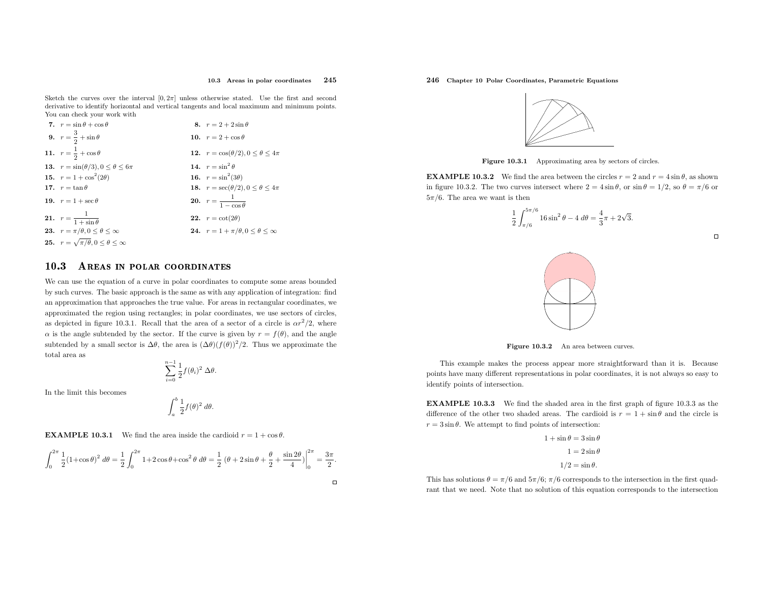Sketch the curves over the interval  $[0, 2\pi]$  unless otherwise stated. Use the first and second derivative to identify horizontal and vertical tangents and local maximum and minimum points. You can check your work with

| 7. $r = \sin \theta + \cos \theta$                            | 8. $r = 2 + 2\sin\theta$                                   |
|---------------------------------------------------------------|------------------------------------------------------------|
| 9. $r = \frac{3}{2} + \sin \theta$                            | 10. $r = 2 + \cos \theta$                                  |
| 11. $r = \frac{1}{2} + \cos \theta$                           | 12. $r = \cos(\theta/2), 0 \le \theta \le 4\pi$            |
| 13. $r = \sin(\theta/3), 0 \le \theta \le 6\pi$               | 14. $r = \sin^2 \theta$                                    |
| 15. $r = 1 + \cos^2(2\theta)$                                 | 16. $r = \sin^2(3\theta)$                                  |
| 17. $r = \tan \theta$                                         | 18. $r = \sec(\theta/2), 0 \le \theta \le 4\pi$            |
| 19. $r = 1 + \sec \theta$                                     | <b>20.</b> $r = \frac{1}{1 - \cos \theta}$                 |
| <b>21.</b> $r = \frac{1}{1 + \sin \theta}$                    | 22. $r = \cot(2\theta)$                                    |
| <b>23.</b> $r = \pi/\theta, 0 \le \theta \le \infty$          | <b>24.</b> $r = 1 + \pi/\theta, 0 \leq \theta \leq \infty$ |
| <b>25.</b> $r = \sqrt{\pi}/\theta, 0 \leq \theta \leq \infty$ |                                                            |
|                                                               |                                                            |

#### 10.33 AREAS IN POLAR COORDINATES

We can use the equation of <sup>a</sup> curve in polar coordinates to compute some areas bounded by such curves. The basic approac<sup>h</sup> is the same as with any application of integration: find an approximation that approaches the true value. For areas in rectangular coordinates, we approximated the region using rectangles; in polar coordinates, we use sectors of circles, as depicted in figure 10.3.1. Recall that the area of a sector of a circle is  $\alpha r^2/2$ , where  $\alpha$  is the angle subtended by the sector. If the curve is given by  $r = f(\theta)$ , and the angle subtended by a small sector is  $\Delta\theta$ , the area is  $(\Delta\theta)(f(\theta))^2/2$ . Thus we approximate the total area as

$$
\sum_{i=0}^{n-1} \frac{1}{2} f(\theta_i)^2 \, \Delta \theta.
$$

In the limit this becomes

$$
\int_{a}^{b} \frac{1}{2} f(\theta)^2 \ d\theta.
$$

**EXAMPLE 10.3.1** We find the area inside the cardioid  $r = 1 + \cos \theta$ .

$$
\int_0^{2\pi} \frac{1}{2} (1 + \cos \theta)^2 d\theta = \frac{1}{2} \int_0^{2\pi} 1 + 2 \cos \theta + \cos^2 \theta d\theta = \frac{1}{2} (\theta + 2 \sin \theta + \frac{\theta}{2} + \frac{\sin 2\theta}{4}) \Big|_0^{2\pi} = \frac{3\pi}{2}.
$$

# 246 Chapter <sup>10</sup> Polar Coordinates, Parametric Equations



**Figure 10.3.1** Approximating area by sectors of circles.

**EXAMPLE 10.3.2** We find the area between the circles  $r = 2$  and  $r = 4 \sin \theta$ , as shown in figure 10.3.2. The two curves intersect where  $2 = 4 \sin \theta$ , or  $\sin \theta = 1/2$ , so  $\theta = \pi/6$  or  $5\pi/6$ . The area we want is then

$$
\frac{1}{2} \int_{\pi/6}^{5\pi/6} 16\sin^2\theta - 4\,d\theta = \frac{4}{3}\pi + 2\sqrt{3}.
$$





**Figure 10.3.2** An area between curves.

This example makes the process appear more straightforward than it is. Because points have many different representations in polar coordinates, it is not always so easy to identify points of intersection.

EXAMPLE 10.3.3 We find the shaded area in the first grap<sup>h</sup> of figure 10.3.3 as the difference of the other two shaded areas. The cardioid is  $r = 1 + \sin \theta$  and the circle is  $r = 3 \sin \theta$ . We attempt to find points of intersection:

> $1 + \sin \theta = 3 \sin \theta$  $1 = 2 \sin \theta$  $1/2 = \sin \theta$ .

This has solutions  $\theta = \pi/6$  and  $5\pi/6$ ;  $\pi/6$  corresponds to the intersection in the first quadrant that we need. Note that no solution of this equation corresponds to the intersection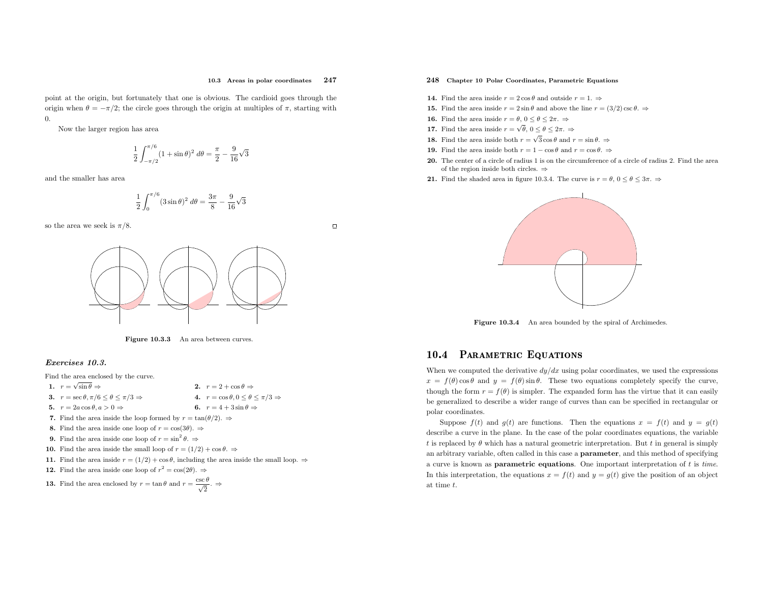point at the origin, but fortunately that one is obvious. The cardioid goes through the origin when  $\theta = -\pi/2$ ; the circle goes through the origin at multiples of  $\pi$ , starting with 0.

Now the larger region has area

$$
\frac{1}{2} \int_{-\pi/2}^{\pi/6} (1 + \sin \theta)^2 \ d\theta = \frac{\pi}{2} - \frac{9}{16} \sqrt{3}
$$

and the smaller has area

$$
\frac{1}{2} \int_0^{\pi/6} (3 \sin \theta)^2 d\theta = \frac{3\pi}{8} - \frac{9}{16} \sqrt{3}
$$

so the area we seek is  $\pi/8$ .





Figure 10.3.3 An area between curves.

#### Exercises 10.3.

Find the area enclosed by the curve.

1.  $r = \sqrt{\sin \theta} \Rightarrow$ 

2.  $r = 2 + \cos \theta \Rightarrow$ 4.  $r = \cos \theta, 0 \le \theta \le \pi/3 \Rightarrow$ <br>6.  $r = 4 + 3 \sin \theta \Rightarrow$ 

**3.** 
$$
r = \sec \theta, \pi/6 \le \theta \le \pi/3 \Rightarrow
$$
  
\n**4.**  $r = \cos \theta, 0 \le \theta$   
\n**5.**  $r = 2a \cos \theta, a > 0 \Rightarrow$   
\n**6.**  $r = 4 + 3 \sin \theta$ 

5.  $r = 2a \cos \theta, a > 0 \Rightarrow$ **6.**  $r = 2a \cos \theta, a > 0 \Rightarrow$ <br>**6.**  $r = 4 + 3 \sin \theta \Rightarrow$ <br>**7.** Find the area inside the loop formed by  $r = \tan(\theta/2) \Rightarrow$ 

- 8. Find the area inside one loop of  $r = \cos(3\theta)$ .  $\Rightarrow$
- **9.** Find the area inside one loop of  $r = \sin^2 \theta$ .  $\Rightarrow$
- **10.** Find the area inside the small loop of  $r = (1/2) + \cos \theta$ .  $\Rightarrow$
- 11. Find the area inside  $r = (1/2) + \cos \theta$ , including the area inside the small loop.  $\Rightarrow$
- **12.** Find the area inside one loop of  $r^2 = \cos(2\theta)$ .  $\Rightarrow$

**13.** Find the area enclosed by  $r = \tan \theta$  and  $r = \frac{\csc \theta}{\sqrt{2}}$ .

### 248 Chapter <sup>10</sup> Polar Coordinates, Parametric Equations

- **14.** Find the area inside  $r = 2 \cos \theta$  and outside  $r = 1$ .  $\Rightarrow$
- **15.** Find the area inside  $r = 2 \sin \theta$  and above the line  $r = (3/2) \csc \theta$ .  $\Rightarrow$
- **16.** Find the area inside  $r = \theta$ ,  $0 \le \theta \le 2\pi$ .  $\Rightarrow$
- **17.** Find the area inside  $r = \sqrt{\theta}$ ,  $0 \le \theta \le 2\pi$ .  $\Rightarrow$
- **18.** Find the area inside both  $r = \sqrt{3} \cos \theta$  and  $r = \sin \theta$ .  $\Rightarrow$
- **19.** Find the area inside both  $r = 1 \cos \theta$  and  $r = \cos \theta$ .  $\Rightarrow$
- 20. The center of <sup>a</sup> circle of radius <sup>1</sup> is on the circumference of <sup>a</sup> circle of radius 2. Find the areaof the region inside both circles. <sup>⇒</sup>
- **21.** Find the shaded area in figure 10.3.4. The curve is  $r = \theta$ ,  $0 \le \theta \le 3\pi$ .  $\Rightarrow$



Figure 10.3.4 An area bounded by the spiral of Archimedes.

# 10.4 PARAMETRIC EQUATIONS

When we computed the derivative  $dy/dx$  using polar coordinates, we used the expressions  $x = f(\theta) \cos \theta$  and  $y = f(\theta) \sin \theta$ . These two equations completely specify the curve, though the form  $r = f(\theta)$  is simpler. The expanded form has the virtue that it can easily be generalized to describe <sup>a</sup> wider range of curves than can be specified in rectangular or polar coordinates.

Suppose  $f(t)$  and  $g(t)$  are functions. Then the equations  $x = f(t)$  and  $y = g(t)$ describe <sup>a</sup> curve in the <sup>p</sup>lane. In the case of the polar coordinates equations, the variable t is replaced by  $\theta$  which has a natural geometric interpretation. But t in general is simply an arbitrary variable, often called in this case <sup>a</sup> parameter, and this method of specifying a curve is known as **parametric equations**. One important interpretation of  $t$  is time. In this interpretation, the equations  $x = f(t)$  and  $y = g(t)$  give the position of an object at time <sup>t</sup>.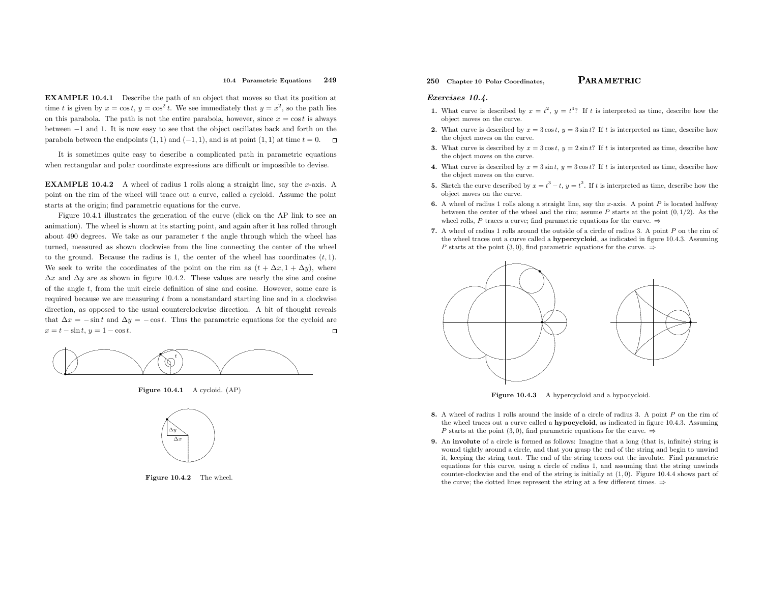#### 10.4 Parametric Equations <sup>249</sup>

EXAMPLE 10.4.1 Describe the path of an object that moves so that its position at time t is given by  $x = \cos t$ ,  $y = \cos^2 t$ . We see immediately that  $y = x^2$ , so the path lies on this parabola. The path is not the entire parabola, however, since  $x = \cos t$  is always between<sup>−</sup><sup>1</sup> and 1. It is now easy to see that the object oscillates back and forth on the parabola between the endpoints  $(1, 1)$  and  $(-1, 1)$ , and is at point  $(1, 1)$  at time  $t = 0$ .

It is sometimes quite easy to describe <sup>a</sup> complicated path in parametric equations when rectangular and polar coordinate expressions are difficult or impossible to devise.

**EXAMPLE 10.4.2** A wheel of radius 1 rolls along a straight line, say the x-axis. A point on the rim of the wheel will trace out <sup>a</sup> curve, called <sup>a</sup> cycloid. Assume the point starts at the origin; find parametric equations for the curve.

Figure 10.4.1 illustrates the generation of the curve (click on the AP link to see an animation). The wheel is shown at its starting point, and again after it has rolled throughabout 490 degrees. We take as our parameter  $t$  the angle through which the wheel has turned, measured as shown clockwise from the line connecting the center of the wheel to the ground. Because the radius is 1, the center of the wheel has coordinates  $(t, 1)$ . We seek to write the coordinates of the point on the rim as  $(t + \Delta x, 1 + \Delta y)$ , where  $\Delta x$  and  $\Delta y$  are as shown in figure 10.4.2. These values are nearly the sine and cosine of the angle <sup>t</sup>, from the unit circle definition of sine and cosine. However, some care is required because we are measuring <sup>t</sup> from <sup>a</sup> nonstandard starting line and in <sup>a</sup> clockwise direction, as opposed to the usual counterclockwise direction. <sup>A</sup> bit of thought reveals that  $\Delta x = -\sin t$  and  $\Delta y = -\cos t$ . Thus the parametric equations for the cycloid are  $x = t - \sin t, y = 1 - \cos t.$ 



Figure 10.4.1 <sup>A</sup> cycloid. (AP)



Figure 10.4.2 The wheel.

# 250 Chapter 10 Polar Coordinates,  $PARAMETRIC$

#### Exercises 10.4.

1. What curve is described by  $x = t^2$ ,  $y = t^4$ ? If t is interpreted as time, describe how the object moves on the curve.

 $\mathbf C$ 

- **2.** What curve is described by  $x = 3\cos t$ ,  $y = 3\sin t$ ? If t is interpreted as time, describe how the object moves on the curve.
- **3.** What curve is described by  $x = 3\cos t$ ,  $y = 2\sin t$ ? If t is interpreted as time, describe how the object moves on the curve.
- 4. What curve is described by  $x = 3 \sin t$ ,  $y = 3 \cos t$ ? If t is interpreted as time, describe how the object moves on the curve.
- 5. Sketch the curve described by  $x = t^3 t$ ,  $y = t^2$ . If t is interpreted as time, describe how the object moves on the curve.
- **6.** A wheel of radius 1 rolls along a straight line, say the x-axis. A point  $P$  is located halfway between the center of the wheel and the rim; assume  $P$  starts at the point  $(0, 1/2)$ . As the wheel rolls, P traces a curve; find parametric equations for the curve.  $\Rightarrow$
- 7. <sup>A</sup> wheel of radius <sup>1</sup> rolls around the outside of <sup>a</sup> circle of radius 3. <sup>A</sup> point P on the rim of the wheel traces out a curve called a **hypercycloid**, as indicated in figure 10.4.3. Assuming P starts at the point (3,0), find parametric equations for the curve.  $\Rightarrow$



**Figure 10.4.3** A hypercycloid and a hypocycloid.

- 8. A wheel of radius 1 rolls around the inside of a circle of radius 3. A point P on the rim of the wheel traces out a curve called a **hypocycloid**, as indicated in figure 10.4.3. Assuming P starts at the point (3,0), find parametric equations for the curve.  $\Rightarrow$
- 9. An involute of <sup>a</sup> circle is formed as follows: Imagine that <sup>a</sup> long (that is, infinite) string is wound tightly around <sup>a</sup> circle, and that you grasp the end of the string and begin to unwind it, keeping the string taut. The end of the string traces out the involute. Find parametric equations for this curve, using <sup>a</sup> circle of radius 1, and assuming that the string unwinds counter-clockwise and the end of the string is initially at (1, 0). Figure 10.4.4 shows part of the curve; the dotted lines represent the string at a few different times.  $\Rightarrow$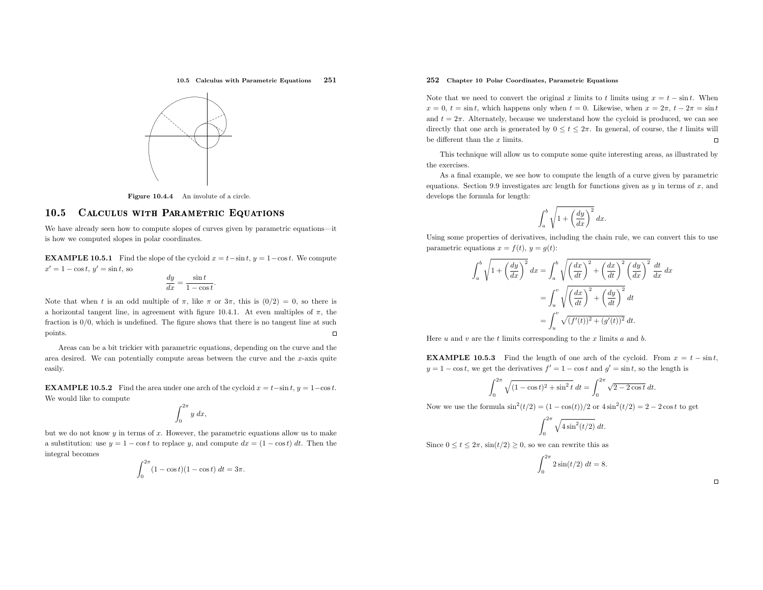10.5 Calculus with Parametric Equations <sup>251</sup>



Figure 10.4.4 An involute of <sup>a</sup> circle.

#### 10.55 CALCULUS WITH PARAMETRIC EQUATIONS

We have already seen how to compute slopes of curves <sup>g</sup>iven by parametric equations—it is how we computed slopes in polar coordinates.

**EXAMPLE 10.5.1** Find the slope of the cycloid  $x = t - \sin t$ ,  $y = 1 - \cos t$ . We compute  $x' = 1 - \cos t, y' = \sin t$ , so

$$
\frac{dy}{dx} = \frac{\sin t}{1 - \cos t}.
$$

Note that when t is an odd multiple of  $\pi$ , like  $\pi$  or  $3\pi$ , this is  $(0/2) = 0$ , so there is a horizontal tangent line, in agreement with figure 10.4.1. At even multiples of  $\pi$ , the fraction is  $0/0$ , which is undefined. The figure shows that there is no tangent line at such  $\Box$ points.

Areas can be <sup>a</sup> bit trickier with parametric equations, depending on the curve and the area desired. We can potentially compute areas between the curve and the  $x$ -axis quite easily.

**EXAMPLE 10.5.2** Find the area under one arch of the cycloid  $x = t - \sin t$ ,  $y = 1 - \cos t$ . We would like to compute

$$
\int_0^{2\pi} y\ dx,
$$

but we do not know  $y$  in terms of  $x$ . However, the parametric equations allow us to make a substitution: use  $y = 1 - \cos t$  to replace y, and compute  $dx = (1 - \cos t) dt$ . Then the integral becomes

$$
\int_0^{2\pi} (1 - \cos t)(1 - \cos t) dt = 3\pi.
$$

# 252 Chapter <sup>10</sup> Polar Coordinates, Parametric Equations

Note that we need to convert the original x limits to t limits using  $x = t - \sin t$ . When  $x = 0, t = \sin t$ , which happens only when  $t = 0$ . Likewise, when  $x = 2\pi$ ,  $t - 2\pi = \sin t$ and  $t = 2\pi$ . Alternately, because we understand how the cycloid is produced, we can see directly that one arch is generated by  $0 \le t \le 2\pi$ . In general, of course, the t limits will be different than the  $x$  limits.

This technique will allow us to compute some quite interesting areas, as illustrated bythe exercises.

As <sup>a</sup> final example, we see how to compute the length of <sup>a</sup> curve <sup>g</sup>iven by parametric equations. Section 9.9 investigates arc length for functions given as  $y$  in terms of  $x$ , and develops the formula for length:

$$
\int_{a}^{b} \sqrt{1 + \left(\frac{dy}{dx}\right)^2} \, dx.
$$

Using some properties of derivatives, including the chain rule, we can convert this to use parametric equations  $x = f(t)$ ,  $y = g(t)$ :

$$
\int_{a}^{b} \sqrt{1 + \left(\frac{dy}{dx}\right)^{2}} dx = \int_{a}^{b} \sqrt{\left(\frac{dx}{dt}\right)^{2} + \left(\frac{dx}{dt}\right)^{2}} \left(\frac{dy}{dx}\right)^{2} \frac{dt}{dx} dx
$$

$$
= \int_{u}^{v} \sqrt{\left(\frac{dx}{dt}\right)^{2} + \left(\frac{dy}{dt}\right)^{2}} dt
$$

$$
= \int_{u}^{v} \sqrt{(f'(t))^{2} + (g'(t))^{2}} dt.
$$

Here  $u$  and  $v$  are the  $t$  limits corresponding to the  $x$  limits  $a$  and  $b$ .

**EXAMPLE 10.5.3** Find the length of one arch of the cycloid. From  $x = t - \sin t$ ,  $y = 1 - \cos t$ , we get the derivatives  $f' = 1 - \cos t$  and  $g' = \sin t$ , so the length is

$$
\int_0^{2\pi} \sqrt{(1-\cos t)^2+\sin^2 t}\ dt=\int_0^{2\pi} \sqrt{2-2\cos t}\ dt.
$$

Now we use the formula  $\sin^2(t/2) = (1 - \cos(t))/2$  or  $4\sin^2(t/2) = 2 - 2\cos t$  to get

$$
\int_0^{2\pi} \sqrt{4\sin^2(t/2)}\ dt.
$$

Since  $0 \le t \le 2\pi$ ,  $\sin(t/2) \ge 0$ , so we can rewrite this as

$$
\int_0^{2\pi} 2\sin(t/2) \, dt = 8.
$$

 $\Box$